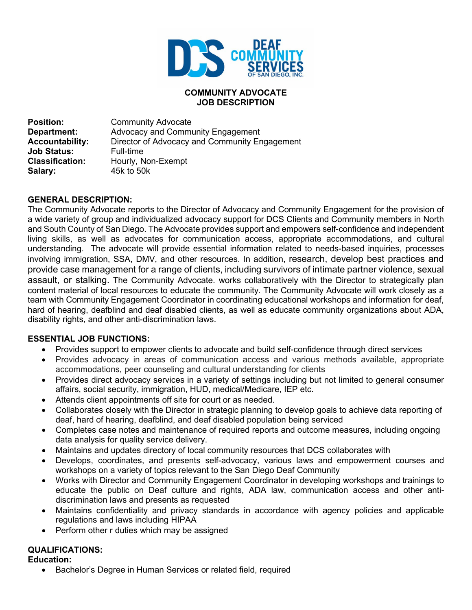

## **COMMUNITY ADVOCATE JOB DESCRIPTION**

**Position:** Community Advocate<br> **Department:** Advocacy and Community **Department:** Advocacy and Community Engagement<br>**Accountability:** Director of Advocacy and Community Eng **Director of Advocacy and Community Engagement Job Status:** Full-time **Classification:** Hourly, Non-Exempt **Salary:** 45k to 50k

## **GENERAL DESCRIPTION:**

The Community Advocate reports to the Director of Advocacy and Community Engagement for the provision of a wide variety of group and individualized advocacy support for DCS Clients and Community members in North and South County of San Diego. The Advocate provides support and empowers self-confidence and independent living skills, as well as advocates for communication access, appropriate accommodations, and cultural understanding. The advocate will provide essential information related to needs-based inquiries, processes involving immigration, SSA, DMV, and other resources. In addition, research, develop best practices and provide case management for a range of clients, including survivors of intimate partner violence, sexual assault, or stalking. The Community Advocate. works collaboratively with the Director to strategically plan content material of local resources to educate the community. The Community Advocate will work closely as a team with Community Engagement Coordinator in coordinating educational workshops and information for deaf, hard of hearing, deafblind and deaf disabled clients, as well as educate community organizations about ADA, disability rights, and other anti-discrimination laws.

## **ESSENTIAL JOB FUNCTIONS:**

- Provides support to empower clients to advocate and build self-confidence through direct services
- Provides advocacy in areas of communication access and various methods available, appropriate accommodations, peer counseling and cultural understanding for clients
- Provides direct advocacy services in a variety of settings including but not limited to general consumer affairs, social security, immigration, HUD, medical/Medicare, IEP etc.
- Attends client appointments off site for court or as needed.
- Collaborates closely with the Director in strategic planning to develop goals to achieve data reporting of deaf, hard of hearing, deafblind, and deaf disabled population being serviced
- Completes case notes and maintenance of required reports and outcome measures, including ongoing data analysis for quality service delivery.
- Maintains and updates directory of local community resources that DCS collaborates with
- Develops, coordinates, and presents self-advocacy, various laws and empowerment courses and workshops on a variety of topics relevant to the San Diego Deaf Community
- Works with Director and Community Engagement Coordinator in developing workshops and trainings to educate the public on Deaf culture and rights, ADA law, communication access and other antidiscrimination laws and presents as requested
- Maintains confidentiality and privacy standards in accordance with agency policies and applicable regulations and laws including HIPAA
- Perform other r duties which may be assigned

## **QUALIFICATIONS:**

#### **Education:**

• Bachelor's Degree in Human Services or related field, required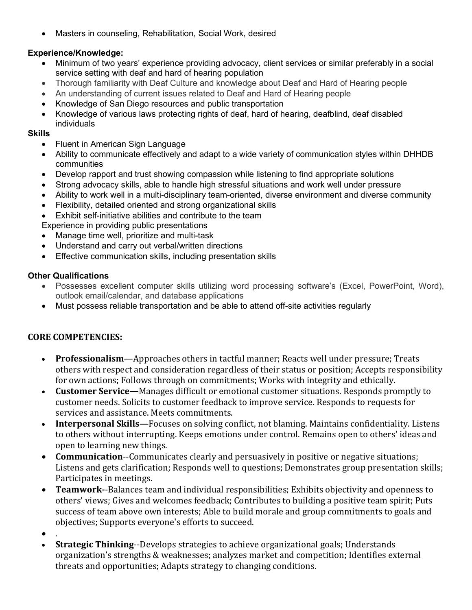• Masters in counseling, Rehabilitation, Social Work, desired

# **Experience/Knowledge:**

- Minimum of two years' experience providing advocacy, client services or similar preferably in a social service setting with deaf and hard of hearing population
- Thorough familiarity with Deaf Culture and knowledge about Deaf and Hard of Hearing people
- An understanding of current issues related to Deaf and Hard of Hearing people
- Knowledge of San Diego resources and public transportation
- Knowledge of various laws protecting rights of deaf, hard of hearing, deafblind, deaf disabled individuals

## **Skills**

- Fluent in American Sign Language
- Ability to communicate effectively and adapt to a wide variety of communication styles within DHHDB communities
- Develop rapport and trust showing compassion while listening to find appropriate solutions
- Strong advocacy skills, able to handle high stressful situations and work well under pressure
- Ability to work well in a multi-disciplinary team-oriented, diverse environment and diverse community
- Flexibility, detailed oriented and strong organizational skills
- Exhibit self-initiative abilities and contribute to the team

Experience in providing public presentations

- Manage time well, prioritize and multi-task
- Understand and carry out verbal/written directions
- Effective communication skills, including presentation skills

## **Other Qualifications**

- Possesses excellent computer skills utilizing word processing software's (Excel, PowerPoint, Word), outlook email/calendar, and database applications
- Must possess reliable transportation and be able to attend off-site activities regularly

# **CORE COMPETENCIES:**

- **Professionalism**—Approaches others in tactful manner; Reacts well under pressure; Treats others with respect and consideration regardless of their status or position; Accepts responsibility for own actions; Follows through on commitments; Works with integrity and ethically.
- **Customer Service—**Manages difficult or emotional customer situations. Responds promptly to customer needs. Solicits to customer feedback to improve service. Responds to requests for services and assistance. Meets commitments.
- **Interpersonal Skills—**Focuses on solving conflict, not blaming. Maintains confidentiality. Listens to others without interrupting. Keeps emotions under control. Remains open to others' ideas and open to learning new things.
- **Communication**--Communicates clearly and persuasively in positive or negative situations; Listens and gets clarification; Responds well to questions; Demonstrates group presentation skills; Participates in meetings.
- **Teamwork-**-Balances team and individual responsibilities; Exhibits objectivity and openness to others' views; Gives and welcomes feedback; Contributes to building a positive team spirit; Puts success of team above own interests; Able to build morale and group commitments to goals and objectives; Supports everyone's efforts to succeed.
- .
- **Strategic Thinking**--Develops strategies to achieve organizational goals; Understands organization's strengths & weaknesses; analyzes market and competition; Identifies external threats and opportunities; Adapts strategy to changing conditions.